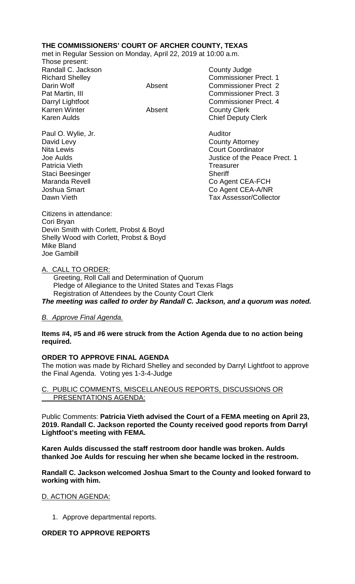# **THE COMMISSIONERS' COURT OF ARCHER COUNTY, TEXAS**

met in Regular Session on Monday, April 22, 2019 at 10:00 a.m.

Those present: Randall C. Jackson County Judge Karren Winter **Absent** County Clerk

Richard Shelley Commissioner Prect. 1 Darin Wolf Absent Commissioner Prect 2 Pat Martin, III Commissioner Prect. 3 Darryl Lightfoot **Commissioner Prect. 4** Karen Aulds **Chief Deputy Clerk** 

Paul O. Wylie, Jr. **Auditor Paul O. Wylie, Jr. Auditor** David Levy **County Attorney** Patricia Vieth **Treasurer** Treasurer Staci Beesinger Sheriff

Nita Lewis **Court Coordinator** Court Coordinator Joe Aulds Justice of the Peace Prect. 1 Maranda Revell Co Agent CEA-FCH Joshua Smart Co Agent CEA-A/NR<br>Dawn Vieth Co Agent CEA-A/NR<br>Tax Assessor/Collect Tax Assessor/Collector

Citizens in attendance: Cori Bryan Devin Smith with Corlett, Probst & Boyd Shelly Wood with Corlett, Probst & Boyd Mike Bland Joe Gambill

#### A. CALL TO ORDER:

 Greeting, Roll Call and Determination of Quorum Pledge of Allegiance to the United States and Texas Flags Registration of Attendees by the County Court Clerk *The meeting was called to order by Randall C. Jackson, and a quorum was noted.*

## *B. Approve Final Agenda.*

#### **Items #4, #5 and #6 were struck from the Action Agenda due to no action being required.**

## **ORDER TO APPROVE FINAL AGENDA**

The motion was made by Richard Shelley and seconded by Darryl Lightfoot to approve the Final Agenda. Voting yes 1-3-4-Judge

#### C. PUBLIC COMMENTS, MISCELLANEOUS REPORTS, DISCUSSIONS OR PRESENTATIONS AGENDA:

Public Comments: **Patricia Vieth advised the Court of a FEMA meeting on April 23, 2019. Randall C. Jackson reported the County received good reports from Darryl Lightfoot's meeting with FEMA.**

**Karen Aulds discussed the staff restroom door handle was broken. Aulds thanked Joe Aulds for rescuing her when she became locked in the restroom.**

**Randall C. Jackson welcomed Joshua Smart to the County and looked forward to working with him.**

## D. ACTION AGENDA:

1. Approve departmental reports.

## **ORDER TO APPROVE REPORTS**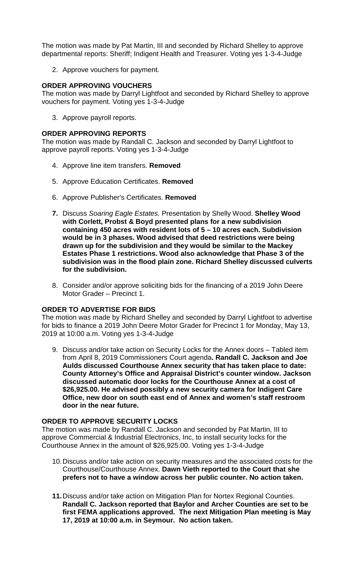The motion was made by Pat Martin, III and seconded by Richard Shelley to approve departmental reports: Sheriff; Indigent Health and Treasurer. Voting yes 1-3-4-Judge

2. Approve vouchers for payment.

### **ORDER APPROVING VOUCHERS**

The motion was made by Darryl Lightfoot and seconded by Richard Shelley to approve vouchers for payment. Voting yes 1-3-4-Judge

3. Approve payroll reports.

#### **ORDER APPROVING REPORTS**

The motion was made by Randall C. Jackson and seconded by Darryl Lightfoot to approve payroll reports. Voting yes 1-3-4-Judge

- 4. Approve line item transfers. **Removed**
- 5. Approve Education Certificates. **Removed**
- 6. Approve Publisher's Certificates. **Removed**
- **7.** Discuss *Soaring Eagle Estates.* Presentation by Shelly Wood. **Shelley Wood with Corlett, Probst & Boyd presented plans for a new subdivision containing 450 acres with resident lots of 5 – 10 acres each. Subdivision would be in 3 phases. Wood advised that deed restrictions were being drawn up for the subdivision and they would be similar to the Mackey Estates Phase 1 restrictions. Wood also acknowledge that Phase 3 of the subdivision was in the flood plain zone. Richard Shelley discussed culverts for the subdivision.**
- 8. Consider and/or approve soliciting bids for the financing of a 2019 John Deere Motor Grader – Precinct 1.

#### **ORDER TO ADVERTISE FOR BIDS**

The motion was made by Richard Shelley and seconded by Darryl Lightfoot to advertise for bids to finance a 2019 John Deere Motor Grader for Precinct 1 for Monday, May 13, 2019 at 10:00 a.m. Voting yes 1-3-4-Judge

9. Discuss and/or take action on Security Locks for the Annex doors – Tabled item from April 8, 2019 Commissioners Court agenda**. Randall C. Jackson and Joe Aulds discussed Courthouse Annex security that has taken place to date: County Attorney's Office and Appraisal District's counter window. Jackson discussed automatic door locks for the Courthouse Annex at a cost of \$26,925.00. He advised possibly a new security camera for Indigent Care Office, new door on south east end of Annex and women's staff restroom door in the near future.**

## **ORDER TO APPROVE SECURITY LOCKS**

The motion was made by Randall C. Jackson and seconded by Pat Martin, III to approve Commercial & Industrial Electronics, Inc, to install security locks for the Courthouse Annex in the amount of \$26,925.00. Voting yes 1-3-4-Judge

- 10.Discuss and/or take action on security measures and the associated costs for the Courthouse/Courthouse Annex. **Dawn Vieth reported to the Court that she prefers not to have a window across her public counter. No action taken.**
- **11.**Discuss and/or take action on Mitigation Plan for Nortex Regional Counties. **Randall C. Jackson reported that Baylor and Archer Counties are set to be first FEMA applications approved. The next Mitigation Plan meeting is May 17, 2019 at 10:00 a.m. in Seymour. No action taken.**